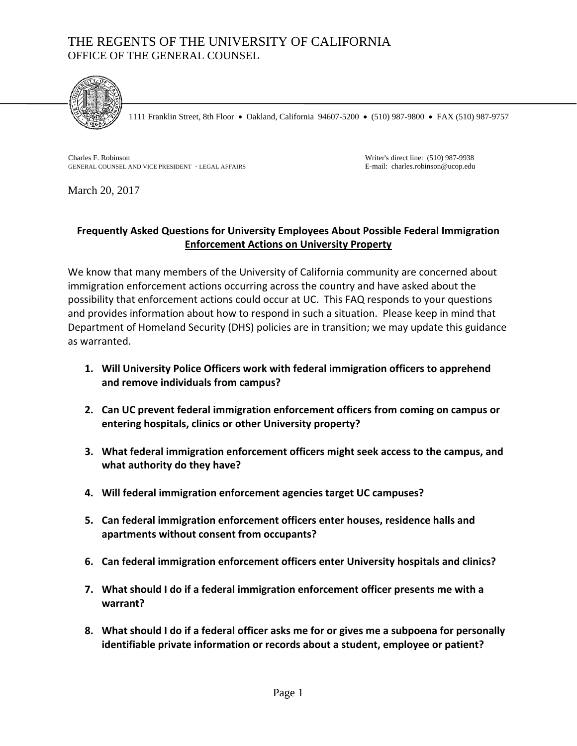# THE REGENTS OF THE UNIVERSITY OF CALIFORNIA OFFICE OF THE GENERAL COUNSEL



1111 Franklin Street, 8th Floor • Oakland, California 94607-5200 • (510) 987-9800 • FAX (510) 987-9757

Charles F. Robinson GENERAL COUNSEL AND VICE PRESIDENT - LEGAL AFFAIRS

Writer's direct line: (510) 987-9938 E-mail: charles.robinson@ucop.edu

March 20, 2017

#### **Frequently Asked Questions for University Employees About Possible Federal Immigration Enforcement Actions on University Property**

We know that many members of the University of California community are concerned about immigration enforcement actions occurring across the country and have asked about the possibility that enforcement actions could occur at UC. This FAQ responds to your questions and provides information about how to respond in such a situation. Please keep in mind that Department of Homeland Security (DHS) policies are in transition; we may update this guidance as warranted.

- **1. Will University Police Officers work with federal immigration officers to apprehend and remove individuals from campus?**
- **2. Can UC prevent federal immigration enforcement officers from coming on campus or entering hospitals, clinics or other University property?**
- **3. What federal immigration enforcement officers might seek access to the campus, and what authority do they have?**
- **4. Will federal immigration enforcement agencies target UC campuses?**
- **5. Can federal immigration enforcement officers enter houses, residence halls and apartments without consent from occupants?**
- **6. Can federal immigration enforcement officers enter University hospitals and clinics?**
- **7. What should I do if a federal immigration enforcement officer presents me with a warrant?**
- **8. What should I do if a federal officer asks me for or gives me a subpoena for personally identifiable private information or records about a student, employee or patient?**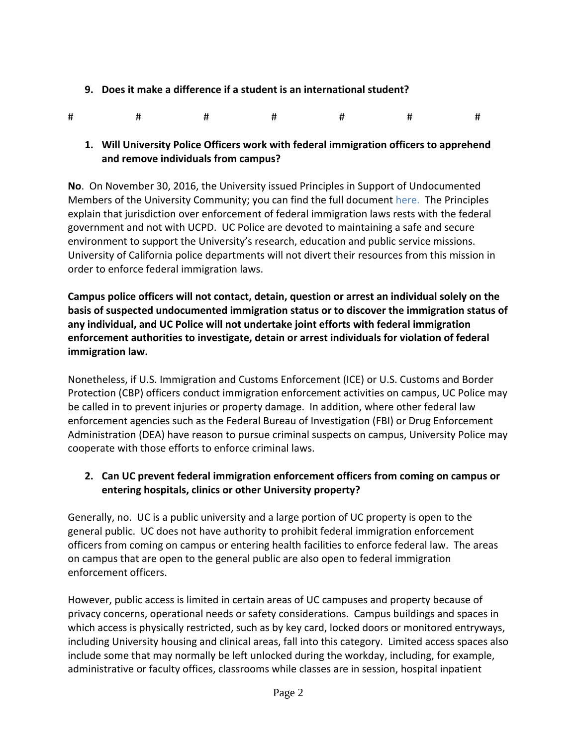- **9. Does it make a difference if a student is an international student?**
- # # # # # # #

#### **1. Will University Police Officers work with federal immigration officers to apprehend and remove individuals from campus?**

**No**. On November 30, 2016, the University issued Principles in Support of Undocumented Members of the University Community; you can find the full document [here.](https://www.universityofcalifornia.edu/sites/default/files/Statement-of-Principles-in-Support-of-Undocumented-Members-of-UC.pdf) The Principles explain that jurisdiction over enforcement of federal immigration laws rests with the federal government and not with UCPD. UC Police are devoted to maintaining a safe and secure environment to support the University's research, education and public service missions. University of California police departments will not divert their resources from this mission in order to enforce federal immigration laws.

**Campus police officers will not contact, detain, question or arrest an individual solely on the basis of suspected undocumented immigration status or to discover the immigration status of any individual, and UC Police will not undertake joint efforts with federal immigration enforcement authorities to investigate, detain or arrest individuals for violation of federal immigration law.** 

Nonetheless, if U.S. Immigration and Customs Enforcement (ICE) or U.S. Customs and Border Protection (CBP) officers conduct immigration enforcement activities on campus, UC Police may be called in to prevent injuries or property damage. In addition, where other federal law enforcement agencies such as the Federal Bureau of Investigation (FBI) or Drug Enforcement Administration (DEA) have reason to pursue criminal suspects on campus, University Police may cooperate with those efforts to enforce criminal laws.

## **2. Can UC prevent federal immigration enforcement officers from coming on campus or entering hospitals, clinics or other University property?**

Generally, no. UC is a public university and a large portion of UC property is open to the general public. UC does not have authority to prohibit federal immigration enforcement officers from coming on campus or entering health facilities to enforce federal law. The areas on campus that are open to the general public are also open to federal immigration enforcement officers.

However, public access is limited in certain areas of UC campuses and property because of privacy concerns, operational needs or safety considerations. Campus buildings and spaces in which access is physically restricted, such as by key card, locked doors or monitored entryways, including University housing and clinical areas, fall into this category. Limited access spaces also include some that may normally be left unlocked during the workday, including, for example, administrative or faculty offices, classrooms while classes are in session, hospital inpatient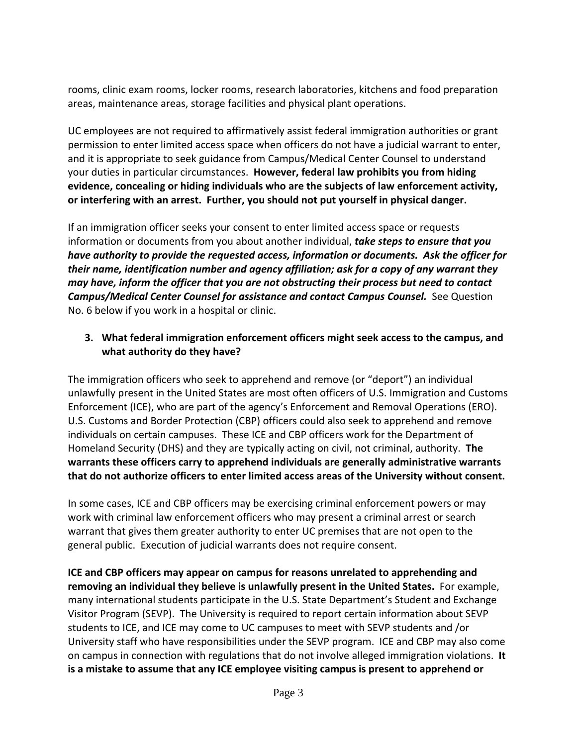rooms, clinic exam rooms, locker rooms, research laboratories, kitchens and food preparation areas, maintenance areas, storage facilities and physical plant operations.

UC employees are not required to affirmatively assist federal immigration authorities or grant permission to enter limited access space when officers do not have a judicial warrant to enter, and it is appropriate to seek guidance from Campus/Medical Center Counsel to understand your duties in particular circumstances. **However, federal law prohibits you from hiding evidence, concealing or hiding individuals who are the subjects of law enforcement activity, or interfering with an arrest. Further, you should not put yourself in physical danger.** 

If an immigration officer seeks your consent to enter limited access space or requests information or documents from you about another individual, *take steps to ensure that you have authority to provide the requested access, information or documents. Ask the officer for their name, identification number and agency affiliation; ask for a copy of any warrant they may have, inform the officer that you are not obstructing their process but need to contact Campus/Medical Center Counsel for assistance and contact Campus Counsel.* See Question No. 6 below if you work in a hospital or clinic.

#### **3. What federal immigration enforcement officers might seek access to the campus, and what authority do they have?**

The immigration officers who seek to apprehend and remove (or "deport") an individual unlawfully present in the United States are most often officers of U.S. Immigration and Customs Enforcement (ICE), who are part of the agency's Enforcement and Removal Operations (ERO). U.S. Customs and Border Protection (CBP) officers could also seek to apprehend and remove individuals on certain campuses. These ICE and CBP officers work for the Department of Homeland Security (DHS) and they are typically acting on civil, not criminal, authority. **The warrants these officers carry to apprehend individuals are generally administrative warrants that do not authorize officers to enter limited access areas of the University without consent.**

In some cases, ICE and CBP officers may be exercising criminal enforcement powers or may work with criminal law enforcement officers who may present a criminal arrest or search warrant that gives them greater authority to enter UC premises that are not open to the general public. Execution of judicial warrants does not require consent.

**ICE and CBP officers may appear on campus for reasons unrelated to apprehending and removing an individual they believe is unlawfully present in the United States.** For example, many international students participate in the U.S. State Department's Student and Exchange Visitor Program (SEVP). The University is required to report certain information about SEVP students to ICE, and ICE may come to UC campuses to meet with SEVP students and /or University staff who have responsibilities under the SEVP program. ICE and CBP may also come on campus in connection with regulations that do not involve alleged immigration violations. **It is a mistake to assume that any ICE employee visiting campus is present to apprehend or**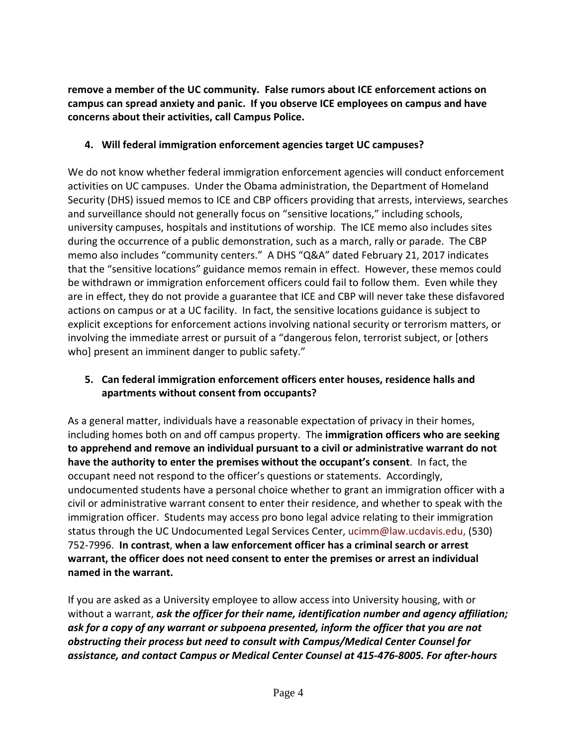**remove a member of the UC community. False rumors about ICE enforcement actions on campus can spread anxiety and panic. If you observe ICE employees on campus and have concerns about their activities, call Campus Police.** 

## **4. Will federal immigration enforcement agencies target UC campuses?**

We do not know whether federal immigration enforcement agencies will conduct enforcement activities on UC campuses. Under the Obama administration, the Department of Homeland Security (DHS) issued memos to ICE and CBP officers providing that arrests, interviews, searches and surveillance should not generally focus on "sensitive locations," including schools, university campuses, hospitals and institutions of worship. The ICE memo also includes sites during the occurrence of a public demonstration, such as a march, rally or parade. The CBP memo also includes "community centers." A DHS "Q&A" dated February 21, 2017 indicates that the "sensitive locations" guidance memos remain in effect. However, these memos could be withdrawn or immigration enforcement officers could fail to follow them. Even while they are in effect, they do not provide a guarantee that ICE and CBP will never take these disfavored actions on campus or at a UC facility. In fact, the sensitive locations guidance is subject to explicit exceptions for enforcement actions involving national security or terrorism matters, or involving the immediate arrest or pursuit of a "dangerous felon, terrorist subject, or [others who] present an imminent danger to public safety."

## **5. Can federal immigration enforcement officers enter houses, residence halls and apartments without consent from occupants?**

As a general matter, individuals have a reasonable expectation of privacy in their homes, including homes both on and off campus property. The **immigration officers who are seeking to apprehend and remove an individual pursuant to a civil or administrative warrant do not have the authority to enter the premises without the occupant's consent**. In fact, the occupant need not respond to the officer's questions or statements. Accordingly, undocumented students have a personal choice whether to grant an immigration officer with a civil or administrative warrant consent to enter their residence, and whether to speak with the immigration officer. Students may access pro bono legal advice relating to their immigration status through the UC Undocumented Legal Services Center, ucimm@law.ucdavis.edu, (530) 752‐7996. **In contrast**, **when a law enforcement officer has a criminal search or arrest warrant, the officer does not need consent to enter the premises or arrest an individual named in the warrant.** 

If you are asked as a University employee to allow access into University housing, with or without a warrant, *ask the officer for their name, identification number and agency affiliation; ask for a copy of any warrant or subpoena presented, inform the officer that you are not obstructing their process but need to consult with Campus/Medical Center Counsel for assistance, and contact Campus or Medical Center Counsel at 415‐476‐8005. For after‐hours*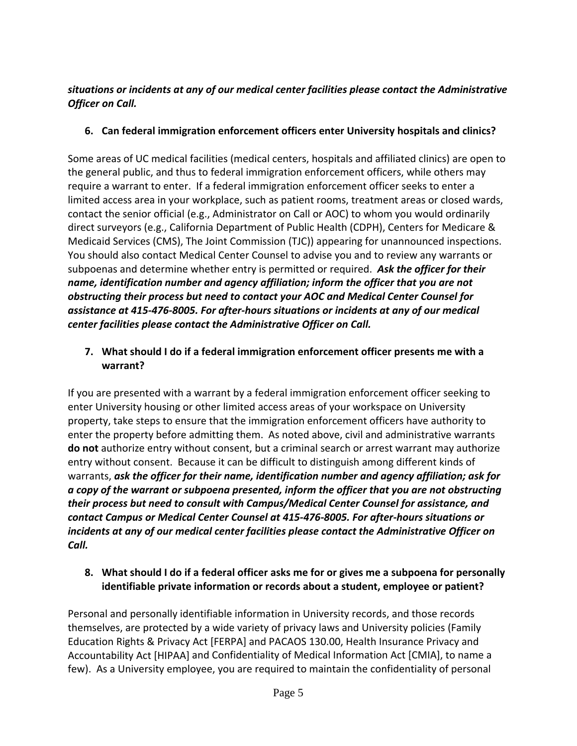## *situations or incidents at any of our medical center facilities please contact the Administrative Officer on Call.*

## **6. Can federal immigration enforcement officers enter University hospitals and clinics?**

Some areas of UC medical facilities (medical centers, hospitals and affiliated clinics) are open to the general public, and thus to federal immigration enforcement officers, while others may require a warrant to enter. If a federal immigration enforcement officer seeks to enter a limited access area in your workplace, such as patient rooms, treatment areas or closed wards, contact the senior official (e.g., Administrator on Call or AOC) to whom you would ordinarily direct surveyors (e.g., California Department of Public Health (CDPH), Centers for Medicare & Medicaid Services (CMS), The Joint Commission (TJC)) appearing for unannounced inspections. You should also contact Medical Center Counsel to advise you and to review any warrants or subpoenas and determine whether entry is permitted or required. *Ask the officer for their name, identification number and agency affiliation; inform the officer that you are not obstructing their process but need to contact your AOC and Medical Center Counsel for assistance at 415‐476‐8005. For after‐hours situations or incidents at any of our medical center facilities please contact the Administrative Officer on Call.*

## **7. What should I do if a federal immigration enforcement officer presents me with a warrant?**

If you are presented with a warrant by a federal immigration enforcement officer seeking to enter University housing or other limited access areas of your workspace on University property, take steps to ensure that the immigration enforcement officers have authority to enter the property before admitting them. As noted above, civil and administrative warrants **do not** authorize entry without consent, but a criminal search or arrest warrant may authorize entry without consent. Because it can be difficult to distinguish among different kinds of warrants, *ask the officer for their name, identification number and agency affiliation; ask for a copy of the warrant or subpoena presented, inform the officer that you are not obstructing their process but need to consult with Campus/Medical Center Counsel for assistance, and contact Campus or Medical Center Counsel at 415‐476‐8005. For after‐hours situations or incidents at any of our medical center facilities please contact the Administrative Officer on Call.*

#### **8. What should I do if a federal officer asks me for or gives me a subpoena for personally identifiable private information or records about a student, employee or patient?**

Personal and personally identifiable information in University records, and those records themselves, are protected by a wide variety of privacy laws and University policies (Family Education Rights & Privacy Act [FERPA] and PACAOS 130.00, Health Insurance Privacy and Accountability Act [HIPAA] and Confidentiality of Medical Information Act [CMIA], to name a few). As a University employee, you are required to maintain the confidentiality of personal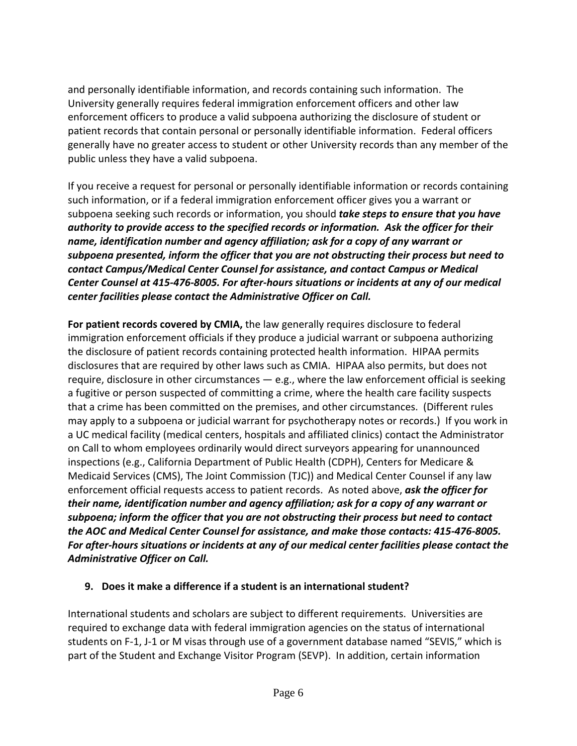and personally identifiable information, and records containing such information. The University generally requires federal immigration enforcement officers and other law enforcement officers to produce a valid subpoena authorizing the disclosure of student or patient records that contain personal or personally identifiable information. Federal officers generally have no greater access to student or other University records than any member of the public unless they have a valid subpoena.

If you receive a request for personal or personally identifiable information or records containing such information, or if a federal immigration enforcement officer gives you a warrant or subpoena seeking such records or information, you should *take steps to ensure that you have authority to provide access to the specified records or information. Ask the officer for their name, identification number and agency affiliation; ask for a copy of any warrant or subpoena presented, inform the officer that you are not obstructing their process but need to contact Campus/Medical Center Counsel for assistance, and contact Campus or Medical* Center Counsel at 415-476-8005. For after-hours situations or incidents at any of our medical *center facilities please contact the Administrative Officer on Call.*

**For patient records covered by CMIA,** the law generally requires disclosure to federal immigration enforcement officials if they produce a judicial warrant or subpoena authorizing the disclosure of patient records containing protected health information. HIPAA permits disclosures that are required by other laws such as CMIA. HIPAA also permits, but does not require, disclosure in other circumstances  $-$  e.g., where the law enforcement official is seeking a fugitive or person suspected of committing a crime, where the health care facility suspects that a crime has been committed on the premises, and other circumstances. (Different rules may apply to a subpoena or judicial warrant for psychotherapy notes or records.) If you work in a UC medical facility (medical centers, hospitals and affiliated clinics) contact the Administrator on Call to whom employees ordinarily would direct surveyors appearing for unannounced inspections (e.g., California Department of Public Health (CDPH), Centers for Medicare & Medicaid Services (CMS), The Joint Commission (TJC)) and Medical Center Counsel if any law enforcement official requests access to patient records. As noted above, *ask the officer for their name, identification number and agency affiliation; ask for a copy of any warrant or subpoena; inform the officer that you are not obstructing their process but need to contact the AOC and Medical Center Counsel for assistance, and make those contacts: 415‐476‐8005. For after‐hours situations or incidents at any of our medical center facilities please contact the Administrative Officer on Call.*

#### **9. Does it make a difference if a student is an international student?**

International students and scholars are subject to different requirements. Universities are required to exchange data with federal immigration agencies on the status of international students on F‐1, J‐1 or M visas through use of a government database named "SEVIS," which is part of the Student and Exchange Visitor Program (SEVP). In addition, certain information